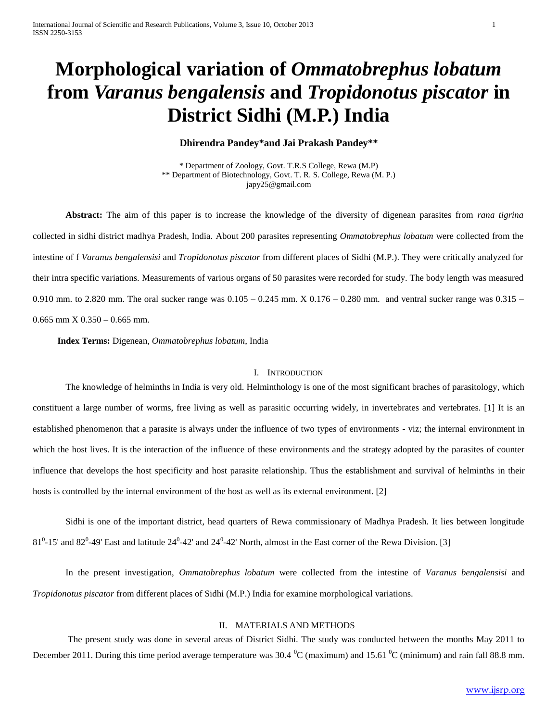# **Morphological variation of** *Ommatobrephus lobatum* **from** *Varanus bengalensis* **and** *Tropidonotus piscator* **in District Sidhi (M.P.) India**

### **Dhirendra Pandey\*and Jai Prakash Pandey\*\***

\* Department of Zoology, Govt. T.R.S College, Rewa (M.P) \*\* Department of Biotechnology, Govt. T. R. S. College, Rewa (M. P.) japy25@gmail.com

**Abstract:** The aim of this paper is to increase the knowledge of the diversity of digenean parasites from *rana tigrina* collected in sidhi district madhya Pradesh, India. About 200 parasites representing *Ommatobrephus lobatum* were collected from the intestine of f *Varanus bengalensisi* and *Tropidonotus piscator* from different places of Sidhi (M.P.). They were critically analyzed for their intra specific variations. Measurements of various organs of 50 parasites were recorded for study. The body length was measured 0.910 mm. to 2.820 mm. The oral sucker range was  $0.105 - 0.245$  mm.  $X\,0.176 - 0.280$  mm. and ventral sucker range was  $0.315 0.665$  mm  $X$   $0.350 - 0.665$  mm.

**Index Terms:** Digenean, *Ommatobrephus lobatum*, India

#### I. INTRODUCTION

The knowledge of helminths in India is very old. Helminthology is one of the most significant braches of parasitology, which constituent a large number of worms, free living as well as parasitic occurring widely, in invertebrates and vertebrates. [1] It is an established phenomenon that a parasite is always under the influence of two types of environments - viz; the internal environment in which the host lives. It is the interaction of the influence of these environments and the strategy adopted by the parasites of counter influence that develops the host specificity and host parasite relationship. Thus the establishment and survival of helminths in their hosts is controlled by the internal environment of the host as well as its external environment. [2]

Sidhi is one of the important district, head quarters of Rewa commissionary of Madhya Pradesh. It lies between longitude  $81^0$ -15' and  $82^0$ -49' East and latitude  $24^0$ -42' and  $24^0$ -42' North, almost in the East corner of the Rewa Division. [3]

In the present investigation, *Ommatobrephus lobatum* were collected from the intestine of *Varanus bengalensisi* and *Tropidonotus piscator* from different places of Sidhi (M.P.) India for examine morphological variations.

#### II. MATERIALS AND METHODS

The present study was done in several areas of District Sidhi. The study was conducted between the months May 2011 to December 2011. During this time period average temperature was  $30.4 \text{ }^0C$  (maximum) and  $15.61 \text{ }^0C$  (minimum) and rain fall 88.8 mm.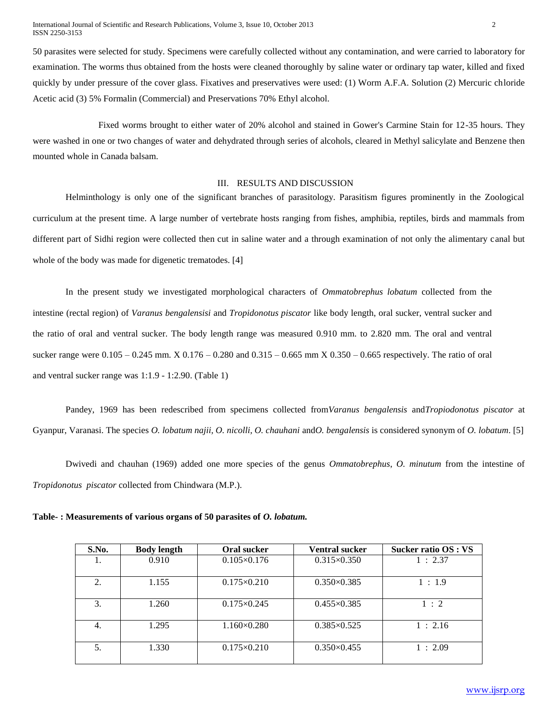50 parasites were selected for study. Specimens were carefully collected without any contamination, and were carried to laboratory for examination. The worms thus obtained from the hosts were cleaned thoroughly by saline water or ordinary tap water, killed and fixed quickly by under pressure of the cover glass. Fixatives and preservatives were used: (1) Worm A.F.A. Solution (2) Mercuric chloride Acetic acid (3) 5% Formalin (Commercial) and Preservations 70% Ethyl alcohol.

Fixed worms brought to either water of 20% alcohol and stained in Gower's Carmine Stain for 12-35 hours. They were washed in one or two changes of water and dehydrated through series of alcohols, cleared in Methyl salicylate and Benzene then mounted whole in Canada balsam.

#### III. RESULTS AND DISCUSSION

Helminthology is only one of the significant branches of parasitology. Parasitism figures prominently in the Zoological curriculum at the present time. A large number of vertebrate hosts ranging from fishes, amphibia, reptiles, birds and mammals from different part of Sidhi region were collected then cut in saline water and a through examination of not only the alimentary canal but whole of the body was made for digenetic trematodes. [4]

In the present study we investigated morphological characters of *Ommatobrephus lobatum* collected from the intestine (rectal region) of *Varanus bengalensisi* and *Tropidonotus piscator* like body length, oral sucker, ventral sucker and the ratio of oral and ventral sucker. The body length range was measured 0.910 mm. to 2.820 mm. The oral and ventral sucker range were 0.105 – 0.245 mm. X 0.176 – 0.280 and 0.315 – 0.665 mm X 0.350 – 0.665 respectively. The ratio of oral and ventral sucker range was 1:1.9 - 1:2.90. (Table 1)

Pandey, 1969 has been redescribed from specimens collected from*Varanus bengalensis* and*Tropiodonotus piscator* at Gyanpur, Varanasi. The species *O. lobatum najii, O. nicolli, O. chauhani* and*O. bengalensis* is considered synonym of *O. lobatum*. [5]

Dwivedi and chauhan (1969) added one more species of the genus *Ommatobrephus*, *O. minutum* from the intestine of *Tropidonotus piscator* collected from Chindwara (M.P.).

**Table- : Measurements of various organs of 50 parasites of** *O. lobatum.*

| S.No. | <b>Body length</b> | Oral sucker          | <b>Ventral sucker</b> | Sucker ratio OS : VS |
|-------|--------------------|----------------------|-----------------------|----------------------|
| 1.    | 0.910              | $0.105 \times 0.176$ | $0.315 \times 0.350$  | 1:2.37               |
| 2.    | 1.155              | $0.175 \times 0.210$ | $0.350 \times 0.385$  | 1:1.9                |
| 3.    | 1.260              | $0.175 \times 0.245$ | $0.455 \times 0.385$  | 1:2                  |
| 4.    | 1.295              | $1.160\times0.280$   | $0.385 \times 0.525$  | 1:2.16               |
| 5.    | 1.330              | $0.175 \times 0.210$ | $0.350\times0.455$    | 1:2.09               |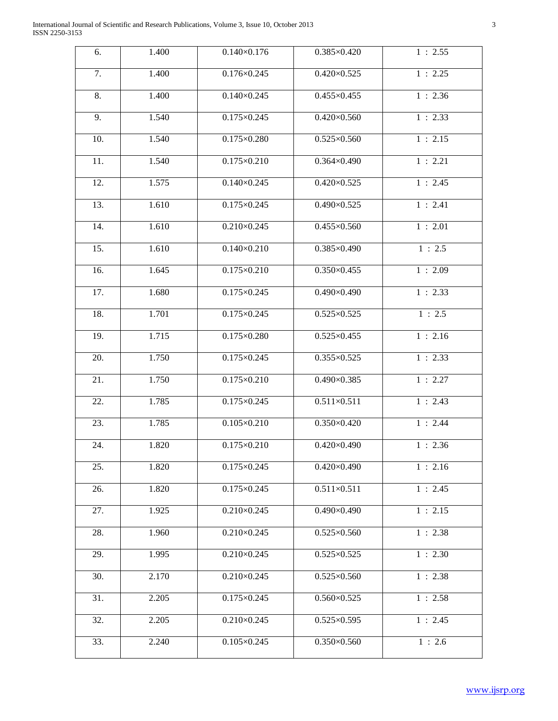| 6.  | 1.400 | $0.140 \times 0.176$ | $0.385 \times 0.420$ | 1:2.55 |
|-----|-------|----------------------|----------------------|--------|
| 7.  | 1.400 | $0.176 \times 0.245$ | $0.420 \times 0.525$ | 1:2.25 |
| 8.  | 1.400 | $0.140\times0.245$   | $0.455 \times 0.455$ | 1:2.36 |
| 9.  | 1.540 | $0.175 \times 0.245$ | $0.420\times0.560$   | 1:2.33 |
| 10. | 1.540 | $0.175 \times 0.280$ | $0.525 \times 0.560$ | 1:2.15 |
| 11. | 1.540 | $0.175 \times 0.210$ | $0.364 \times 0.490$ | 1:2.21 |
| 12. | 1.575 | $0.140\times0.245$   | $0.420 \times 0.525$ | 1:2.45 |
| 13. | 1.610 | $0.175 \times 0.245$ | $0.490 \times 0.525$ | 1:2.41 |
| 14. | 1.610 | $0.210\times0.245$   | $0.455 \times 0.560$ | 1:2.01 |
| 15. | 1.610 | $0.140 \times 0.210$ | 0.385×0.490          | 1:2.5  |
| 16. | 1.645 | $0.175 \times 0.210$ | $0.350\times0.455$   | 1:2.09 |
| 17. | 1.680 | $0.175 \times 0.245$ | $0.490\times0.490$   | 1:2.33 |
| 18. | 1.701 | $0.175 \times 0.245$ | $0.525 \times 0.525$ | 1:2.5  |
| 19. | 1.715 | $0.175 \times 0.280$ | $0.525 \times 0.455$ | 1:2.16 |
| 20. | 1.750 | $0.175 \times 0.245$ | $0.355 \times 0.525$ | 1:2.33 |
| 21. | 1.750 | $0.175 \times 0.210$ | $0.490 \times 0.385$ | 1:2.27 |
| 22. | 1.785 | $0.175 \times 0.245$ | $0.511 \times 0.511$ | 1:2.43 |
| 23. | 1.785 | $0.105 \times 0.210$ | $0.350\times0.420$   | 1:2.44 |
| 24. | 1.820 | $0.175 \times 0.210$ | $0.420\times0.490$   | 1:2.36 |
| 25. | 1.820 | $0.175 \times 0.245$ | $0.420\times0.490$   | 1:2.16 |
| 26. | 1.820 | $0.175 \times 0.245$ | $0.511 \times 0.511$ | 1:2.45 |
| 27. | 1.925 | $0.210\times0.245$   | $0.490\times0.490$   | 1:2.15 |
| 28. | 1.960 | $0.210\times0.245$   | $0.525 \times 0.560$ | 1:2.38 |
| 29. | 1.995 | $0.210\times0.245$   | $0.525 \times 0.525$ | 1:2.30 |
| 30. | 2.170 | $0.210\times0.245$   | $0.525 \times 0.560$ | 1:2.38 |
| 31. | 2.205 | $0.175 \times 0.245$ | $0.560 \times 0.525$ | 1:2.58 |
| 32. | 2.205 | $0.210\times0.245$   | $0.525 \times 0.595$ | 1:2.45 |
| 33. | 2.240 | $0.105 \times 0.245$ | $0.350\times0.560$   | 1:2.6  |
|     |       |                      |                      |        |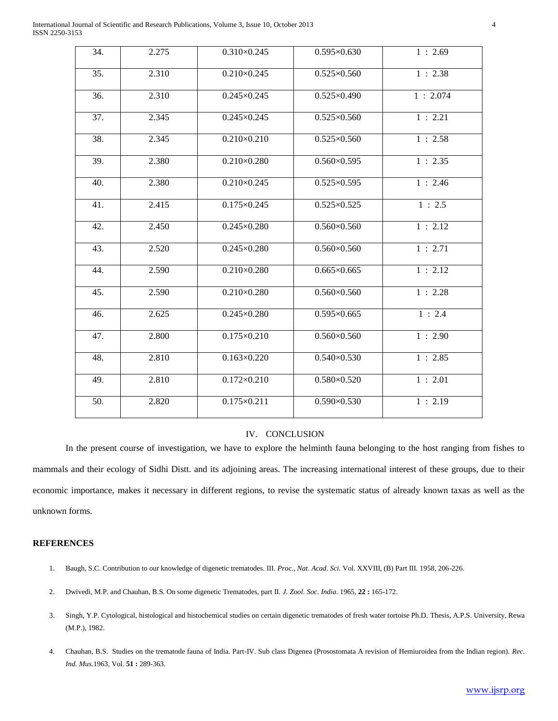International Journal of Scientific and Research Publications, Volume 3, Issue 10, October 2013 4 ISSN 2250-3153

| 34. | 2.275 | $0.310\times0.245$   | $0.595 \times 0.630$ | 1:2.69  |
|-----|-------|----------------------|----------------------|---------|
| 35. | 2.310 | $0.210\times0.245$   | $0.525 \times 0.560$ | 1:2.38  |
| 36. | 2.310 | $0.245 \times 0.245$ | $0.525 \times 0.490$ | 1:2.074 |
| 37. | 2.345 | $0.245 \times 0.245$ | $0.525 \times 0.560$ | 1:2.21  |
| 38. | 2.345 | $0.210\times0.210$   | $0.525 \times 0.560$ | 1:2.58  |
| 39. | 2.380 | $0.210\times0.280$   | $0.560\times0.595$   | 1:2.35  |
| 40. | 2.380 | $0.210\times0.245$   | $0.525 \times 0.595$ | 1:2.46  |
| 41. | 2.415 | $0.175 \times 0.245$ | $0.525 \times 0.525$ | 1:2.5   |
| 42. | 2.450 | $0.245 \times 0.280$ | $0.560\times0.560$   | 1:2.12  |
| 43. | 2.520 | $0.245 \times 0.280$ | $0.560\times0.560$   | 1:2.71  |
| 44. | 2.590 | $0.210\times0.280$   | $0.665\times0.665$   | 1:2.12  |
| 45. | 2.590 | $0.210\times0.280$   | $0.560\times0.560$   | 1:2.28  |
| 46. | 2.625 | $0.245 \times 0.280$ | $0.595\times0.665$   | 1:2.4   |
| 47. | 2.800 | $0.175 \times 0.210$ | $0.560\times0.560$   | 1:2.90  |
| 48. | 2.810 | $0.163\times0.220$   | $0.540\times0.530$   | 1:2.85  |
| 49. | 2.810 | $0.172 \times 0.210$ | $0.580\times0.520$   | 1:2.01  |
| 50. | 2.820 | $0.175 \times 0.211$ | $0.590 \times 0.530$ | 1:2.19  |
|     |       |                      |                      |         |

#### IV. CONCLUSION

In the present course of investigation, we have to explore the helminth fauna belonging to the host ranging from fishes to mammals and their ecology of Sidhi Distt. and its adjoining areas. The increasing international interest of these groups, due to their economic importance, makes it necessary in different regions, to revise the systematic status of already known taxas as well as the unknown forms.

#### **REFERENCES**

- 1. Baugh, S.C. Contribution to our knowledge of digenetic trematodes. III. *Proc., Nat. Acad. Sci.* Vol. XXVIII, (B) Part III. 1958, 206-226.
- 2. Dwivedi, M.P. and Chauhan, B.S. On some digenetic Trematodes, part II. *J. Zool. Soc. India*. 1965, **22 :** 165-172.
- 3. Singh, Y.P. Cytological, histological and histochemical studies on certain digenetic trematodes of fresh water tortoise Ph.D. Thesis, A.P.S. University, Rewa (M.P.), 1982.
- 4. Chauhan, B.S. Studies on the trematode fauna of India. Part-IV. Sub class Digenea (Prosostomata A revision of Hemiuroidea from the Indian region). *Rec. Ind. Mus.*1963, Vol. **51 :** 289-363.